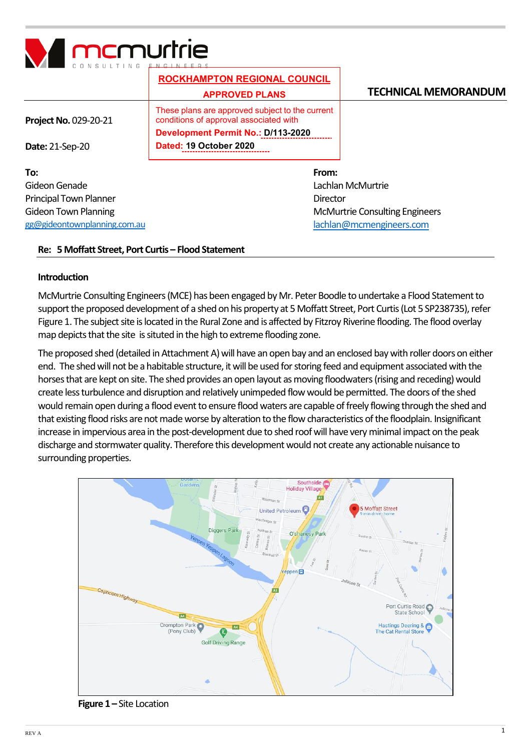

|                               | <b>ROCKHAMPTON REGIONAL COUNCIL</b><br><b>APPROVED PLANS</b>                              | <b>TECHNICAL MEMORANDUM</b>           |
|-------------------------------|-------------------------------------------------------------------------------------------|---------------------------------------|
| <b>Project No. 029-20-21</b>  | These plans are approved subject to the current<br>conditions of approval associated with |                                       |
|                               | <b>Development Permit No.: D/113-2020</b>                                                 |                                       |
| <b>Date: 21-Sep-20</b>        | Dated: 19 October 2020                                                                    |                                       |
| To:                           | From:                                                                                     |                                       |
| Gideon Genade                 |                                                                                           | Lachlan McMurtrie                     |
| <b>Principal Town Planner</b> | Director                                                                                  |                                       |
| <b>Gideon Town Planning</b>   |                                                                                           | <b>McMurtrie Consulting Engineers</b> |
| gg@gideontownplanning.com.au  |                                                                                           | lachlan@mcmengineers.com              |

### **Re: 5 Moffatt Street, Port Curtis – Flood Statement**

### **Introduction**

McMurtrie Consulting Engineers (MCE) hasbeen engaged by Mr. Peter Boodle to undertake a Flood Statement to support the proposed development of a shed on his property at 5 Moffatt Street, Port Curtis (Lot 5 SP238735), refer Figure 1. The subject site is located in the Rural Zone and is affected by Fitzroy Riverine flooding. The flood overlay map depicts that the site is situted in the high to extreme flooding zone.

The proposed shed (detailed in Attachment A) will have an open bay and an enclosed bay with roller doors on either end. The shed will not be a habitable structure, it will be used for storing feed and equipment associated with the horses that are kept on site. The shed provides an open layout as moving floodwaters (rising and receding) would create less turbulence and disruption and relatively unimpeded flow would be permitted. The doors of the shed would remain open during a flood event to ensure flood waters are capable of freely flowing through the shed and that existing flood risks are not made worse by alteration to the flow characteristics of the floodplain. Insignificant increase in impervious area in the post-development due to shed roof will have very minimal impact on the peak discharge and stormwater quality. Therefore this development would not create any actionable nuisance to surrounding properties.



 **Figure 1 –** Site Location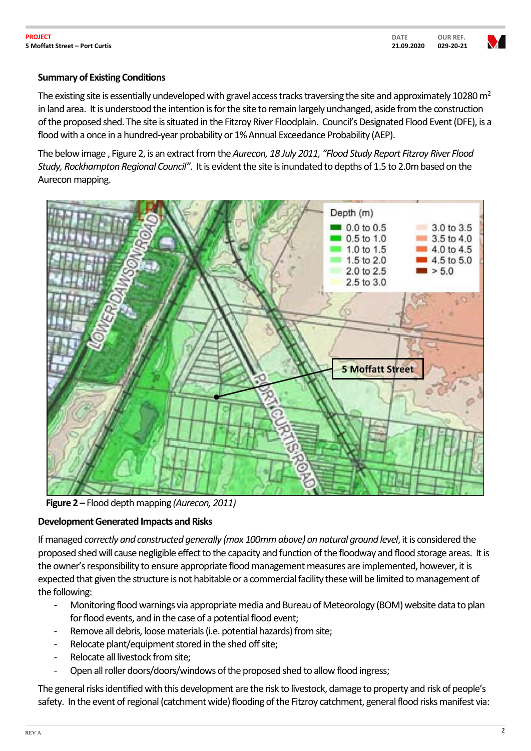## **QUOTA QUOTATION TION Summary of Existing Conditions**

The existing site is essentially undeveloped with gravel access tracks traversing the site and approximately 10280  $m<sup>2</sup>$ in land area. It is understood the intention is for the site to remain largely unchanged, aside from the construction of the proposed shed. The site is situated in the Fitzroy River Floodplain. Council's Designated Flood Event (DFE), is a flood with a once in a hundred-year probability or 1% Annual Exceedance Probability (AEP).

The below image , Figure 2, is an extract from the *Aurecon, 18 July 2011, "Flood Study Report Fitzroy River Flood Study, Rockhampton Regional Council"*. It is evident the site is inundated to depths of 1.5 to 2.0m based on the Aurecon mapping.



 **Figure 2 –** Flood depth mapping *(Aurecon, 2011)*

## **Development Generated Impacts and Risks**

If managed *correctly and constructed generally (max 100mm above) on natural ground level*, it is considered the proposed shed will cause negligible effect to the capacity and function of the floodway and flood storage areas. It is the owner's responsibility to ensure appropriate flood management measures are implemented, however, it is expected that given the structure is not habitable or a commercial facility these will be limited to management of the following:

- Monitoring flood warnings via appropriate media and Bureau of Meteorology (BOM) website data to plan for flood events, and in the case of a potential flood event;
- Remove all debris, loose materials (i.e. potential hazards) from site;
- Relocate plant/equipment stored in the shed off site;
- Relocate all livestock from site;
- Open all roller doors/doors/windows of the proposed shed to allow flood ingress;

The general risks identified with this development are the risk to livestock, damage to property and risk of people's safety. In the event of regional (catchment wide) flooding of the Fitzroy catchment, general flood risks manifest via: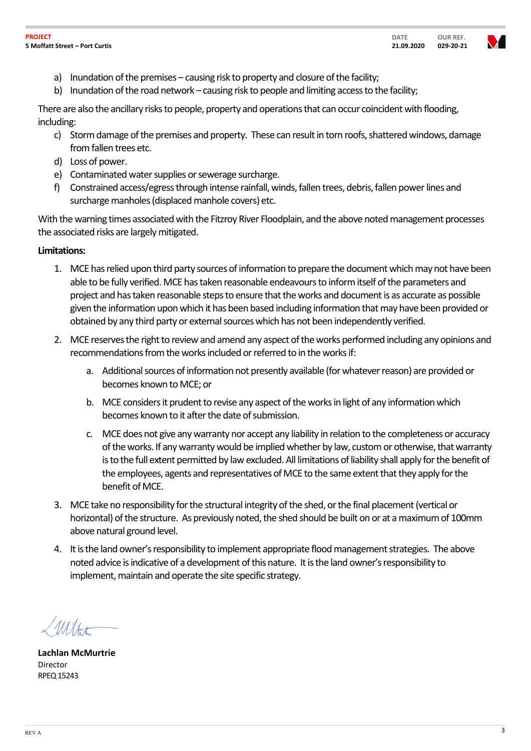

- **QUOTA QUOTATION TION** a) Inundation of the premises – causing risk to property and closure of the facility;
	- b) Inundation of the road network causing risk to people and limiting access to the facility;

There are also the ancillary risks to people, property and operations that can occur coincident with flooding, including:

- c) Storm damage of the premises and property. These can result in torn roofs, shattered windows, damage from fallen trees etc.
- d) Loss of power.
- e) Contaminated water supplies or sewerage surcharge.
- f) Constrained access/egress through intense rainfall, winds, fallen trees, debris, fallen power lines and surcharge manholes (displaced manhole covers) etc.

With the warning times associated with the Fitzroy River Floodplain, and the above noted management processes the associated risks are largely mitigated.

### **Limitations:**

- 1. MCE has relied upon third party sources of information to prepare the document which may not have been able to be fully verified. MCE has taken reasonable endeavoursto inform itself of the parameters and project and has taken reasonable steps to ensure that the works and document is as accurate as possible given the information upon which it has been based including information that may have been provided or obtained by any third party or external sources which has not been independently verified.
- 2. MCE reserves the right to review and amend any aspect of the works performed including any opinions and recommendations from the works included or referred to in the works if:
	- a. Additional sources of information not presently available (for whatever reason) are provided or becomes known to MCE; or
	- b. MCE considers it prudent to revise any aspect of the works in light of any information which becomes known to it after the date of submission.
	- c. MCE does not give any warranty nor accept any liability in relation to the completeness or accuracy of the works. If any warranty would be implied whether by law, custom or otherwise, that warranty is to the full extent permitted by law excluded. All limitations of liability shall apply for the benefit of the employees, agents and representatives of MCE to the same extent that they apply for the benefit of MCE.
- 3. MCE take no responsibility for the structural integrity of the shed, or the final placement (vertical or horizontal) of the structure. As previously noted, the shed should be built on or at a maximum of 100mm above natural ground level.
- 4. It is the land owner's responsibility to implement appropriate flood management strategies. The above noted advice is indicative of a development of this nature. It is the land owner's responsibility to implement, maintain and operate the site specific strategy.

Wilton

**Lachlan McMurtrie** Director RPEQ 15243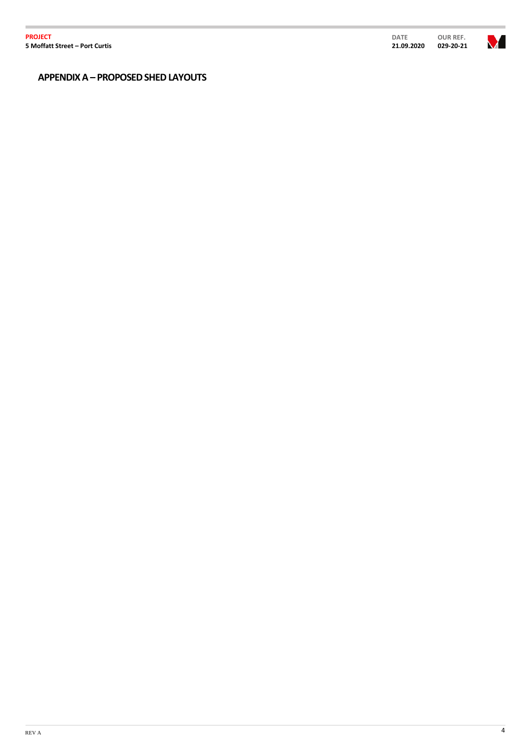**PROJECT 5 Moffatt Street – Port Curtis**

Ì.

V ı

**QUOTA QUOTATION TION APPENDIX A – PROPOSED SHED LAYOUTS**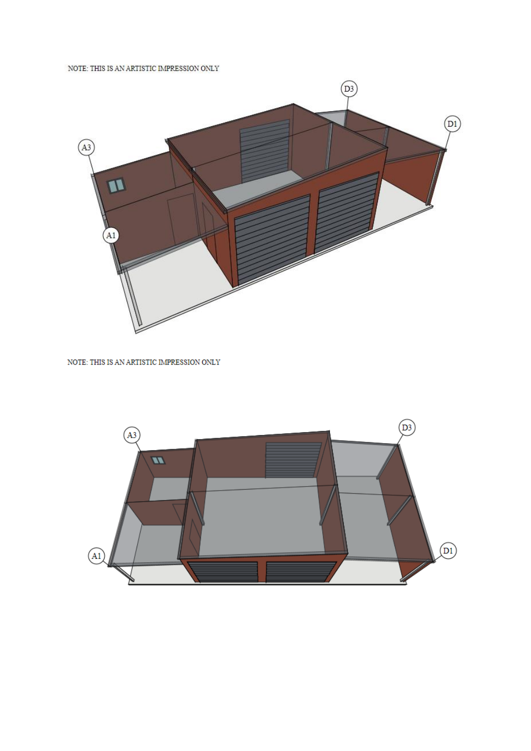NOTE: THIS IS AN ARTISTIC IMPRESSION ONLY



NOTE: THIS IS AN ARTISTIC IMPRESSION ONLY

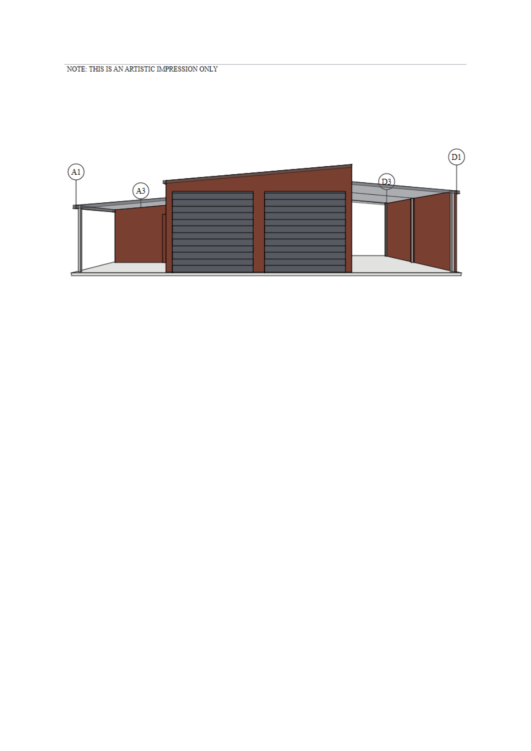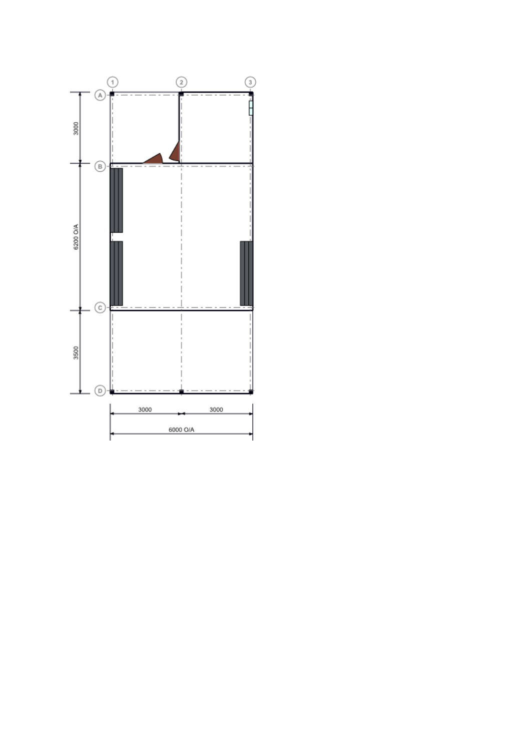